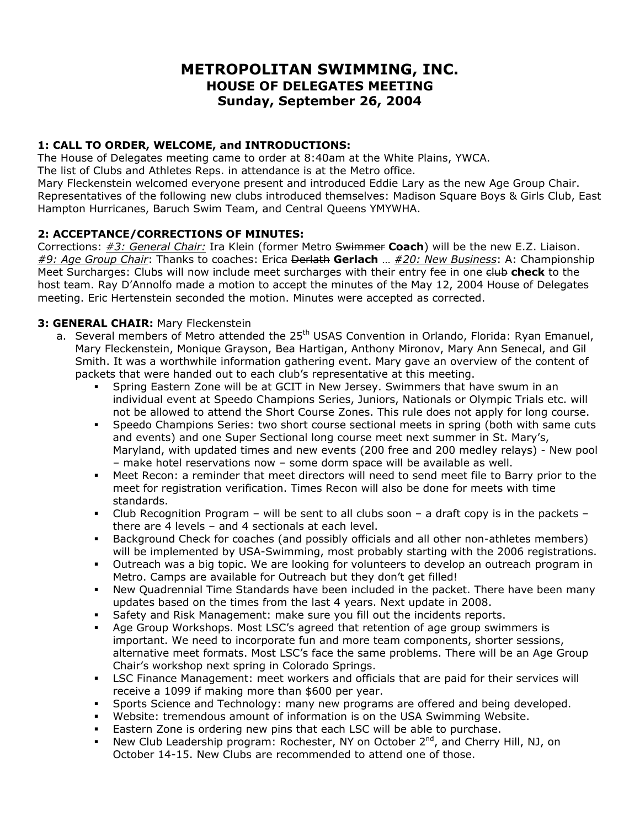# **METROPOLITAN SWIMMING, INC. HOUSE OF DELEGATES MEETING Sunday, September 26, 2004**

# **1: CALL TO ORDER, WELCOME, and INTRODUCTIONS:**

The House of Delegates meeting came to order at 8:40am at the White Plains, YWCA. The list of Clubs and Athletes Reps. in attendance is at the Metro office. Mary Fleckenstein welcomed everyone present and introduced Eddie Lary as the new Age Group Chair. Representatives of the following new clubs introduced themselves: Madison Square Boys & Girls Club, East Hampton Hurricanes, Baruch Swim Team, and Central Queens YMYWHA.

# **2: ACCEPTANCE/CORRECTIONS OF MINUTES:**

Corrections: *#3: General Chair:* Ira Klein (former Metro Swimmer **Coach**) will be the new E.Z. Liaison. *#9: Age Group Chair*: Thanks to coaches: Erica Derlath **Gerlach** … *#20: New Business*: A: Championship Meet Surcharges: Clubs will now include meet surcharges with their entry fee in one club check to the host team. Ray D'Annolfo made a motion to accept the minutes of the May 12, 2004 House of Delegates meeting. Eric Hertenstein seconded the motion. Minutes were accepted as corrected.

# **3: GENERAL CHAIR:** Mary Fleckenstein

- a. Several members of Metro attended the 25<sup>th</sup> USAS Convention in Orlando, Florida: Ryan Emanuel, Mary Fleckenstein, Monique Grayson, Bea Hartigan, Anthony Mironov, Mary Ann Senecal, and Gil Smith. It was a worthwhile information gathering event. Mary gave an overview of the content of packets that were handed out to each club's representative at this meeting.
	- Spring Eastern Zone will be at GCIT in New Jersey. Swimmers that have swum in an individual event at Speedo Champions Series, Juniors, Nationals or Olympic Trials etc. will not be allowed to attend the Short Course Zones. This rule does not apply for long course.
	- Speedo Champions Series: two short course sectional meets in spring (both with same cuts and events) and one Super Sectional long course meet next summer in St. Mary's, Maryland, with updated times and new events (200 free and 200 medley relays) - New pool – make hotel reservations now – some dorm space will be available as well.
	- Meet Recon: a reminder that meet directors will need to send meet file to Barry prior to the meet for registration verification. Times Recon will also be done for meets with time standards.
	- Club Recognition Program will be sent to all clubs soon a draft copy is in the packets there are 4 levels – and 4 sectionals at each level.
	- Background Check for coaches (and possibly officials and all other non-athletes members) will be implemented by USA-Swimming, most probably starting with the 2006 registrations.
	- Outreach was a big topic. We are looking for volunteers to develop an outreach program in Metro. Camps are available for Outreach but they don't get filled!
	- New Quadrennial Time Standards have been included in the packet. There have been many updates based on the times from the last 4 years. Next update in 2008.
	- Safety and Risk Management: make sure you fill out the incidents reports.
	- Age Group Workshops. Most LSC's agreed that retention of age group swimmers is important. We need to incorporate fun and more team components, shorter sessions, alternative meet formats. Most LSC's face the same problems. There will be an Age Group Chair's workshop next spring in Colorado Springs.
	- LSC Finance Management: meet workers and officials that are paid for their services will receive a 1099 if making more than \$600 per year.
	- Sports Science and Technology: many new programs are offered and being developed.
	- Website: tremendous amount of information is on the USA Swimming Website.
	- **Eastern Zone is ordering new pins that each LSC will be able to purchase.**
	- New Club Leadership program: Rochester, NY on October 2<sup>nd</sup>, and Cherry Hill, NJ, on October 14-15. New Clubs are recommended to attend one of those.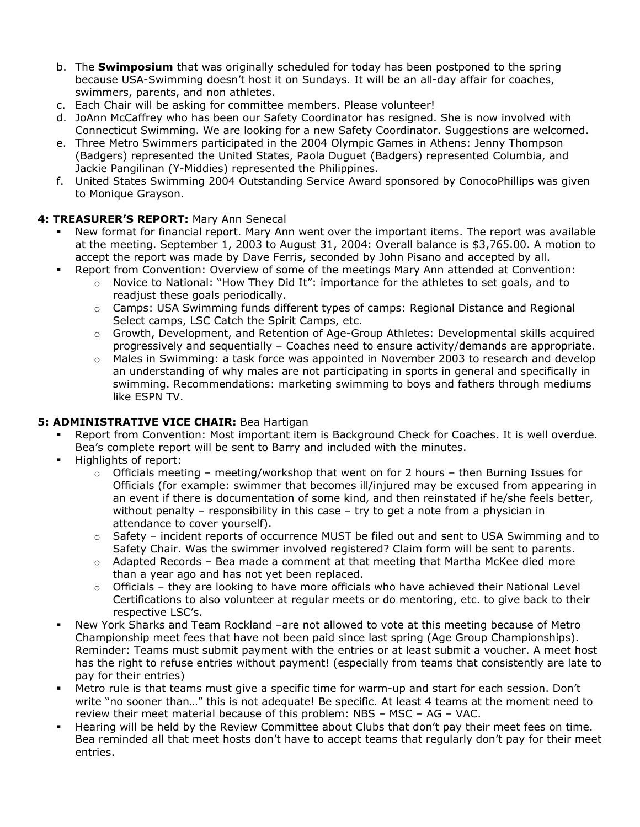- b. The **Swimposium** that was originally scheduled for today has been postponed to the spring because USA-Swimming doesn't host it on Sundays. It will be an all-day affair for coaches, swimmers, parents, and non athletes.
- c. Each Chair will be asking for committee members. Please volunteer!
- d. JoAnn McCaffrey who has been our Safety Coordinator has resigned. She is now involved with Connecticut Swimming. We are looking for a new Safety Coordinator. Suggestions are welcomed.
- e. Three Metro Swimmers participated in the 2004 Olympic Games in Athens: Jenny Thompson (Badgers) represented the United States, Paola Duguet (Badgers) represented Columbia, and Jackie Pangilinan (Y-Middies) represented the Philippines.
- f. United States Swimming 2004 Outstanding Service Award sponsored by ConocoPhillips was given to Monique Grayson.

# **4: TREASURER'S REPORT:** Mary Ann Senecal

- New format for financial report. Mary Ann went over the important items. The report was available at the meeting. September 1, 2003 to August 31, 2004: Overall balance is \$3,765.00. A motion to accept the report was made by Dave Ferris, seconded by John Pisano and accepted by all.
	- Report from Convention: Overview of some of the meetings Mary Ann attended at Convention:
		- $\circ$  Novice to National: "How They Did It": importance for the athletes to set goals, and to readjust these goals periodically.
		- $\circ$  Camps: USA Swimming funds different types of camps: Regional Distance and Regional Select camps, LSC Catch the Spirit Camps, etc.
		- o Growth, Development, and Retention of Age-Group Athletes: Developmental skills acquired progressively and sequentially – Coaches need to ensure activity/demands are appropriate.
		- $\circ$  Males in Swimming: a task force was appointed in November 2003 to research and develop an understanding of why males are not participating in sports in general and specifically in swimming. Recommendations: marketing swimming to boys and fathers through mediums like ESPN TV.

# **5: ADMINISTRATIVE VICE CHAIR:** Bea Hartigan

- Report from Convention: Most important item is Background Check for Coaches. It is well overdue. Bea's complete report will be sent to Barry and included with the minutes.
- **Highlights of report:** 
	- $\circ$  Officials meeting meeting/workshop that went on for 2 hours then Burning Issues for Officials (for example: swimmer that becomes ill/injured may be excused from appearing in an event if there is documentation of some kind, and then reinstated if he/she feels better, without penalty - responsibility in this case - try to get a note from a physician in attendance to cover yourself).
	- $\circ$  Safety incident reports of occurrence MUST be filed out and sent to USA Swimming and to Safety Chair. Was the swimmer involved registered? Claim form will be sent to parents.
	- $\circ$  Adapted Records Bea made a comment at that meeting that Martha McKee died more than a year ago and has not yet been replaced.
	- $\circ$  Officials they are looking to have more officials who have achieved their National Level Certifications to also volunteer at regular meets or do mentoring, etc. to give back to their respective LSC's.
- New York Sharks and Team Rockland –are not allowed to vote at this meeting because of Metro Championship meet fees that have not been paid since last spring (Age Group Championships). Reminder: Teams must submit payment with the entries or at least submit a voucher. A meet host has the right to refuse entries without payment! (especially from teams that consistently are late to pay for their entries)
- Metro rule is that teams must give a specific time for warm-up and start for each session. Don't write "no sooner than..." this is not adequate! Be specific. At least 4 teams at the moment need to review their meet material because of this problem: NBS – MSC – AG – VAC.
- Hearing will be held by the Review Committee about Clubs that don't pay their meet fees on time. Bea reminded all that meet hosts don't have to accept teams that regularly don't pay for their meet entries.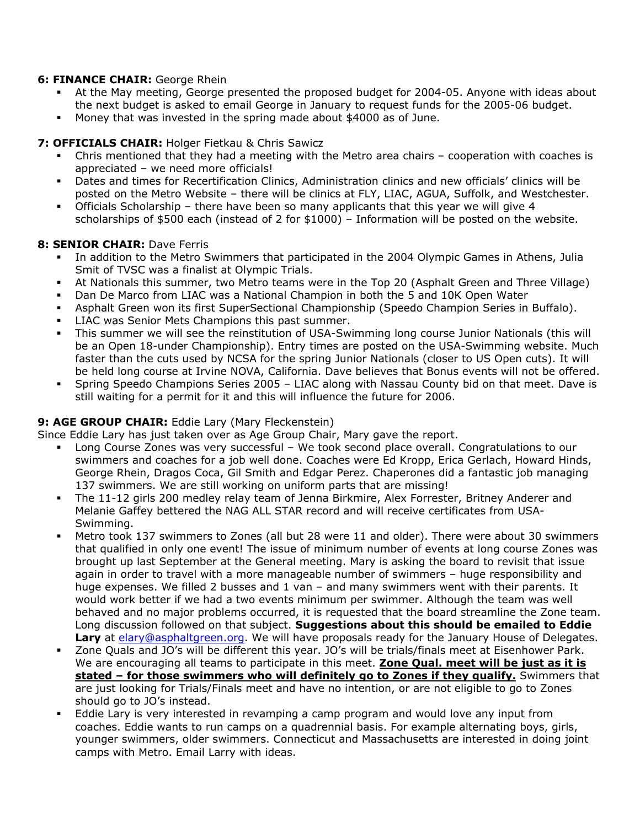#### **6: FINANCE CHAIR:** George Rhein

- At the May meeting, George presented the proposed budget for 2004-05. Anyone with ideas about the next budget is asked to email George in January to request funds for the 2005-06 budget.
- Money that was invested in the spring made about \$4000 as of June.

#### **7: OFFICIALS CHAIR:** Holger Fietkau & Chris Sawicz

- Chris mentioned that they had a meeting with the Metro area chairs cooperation with coaches is appreciated – we need more officials!
- Dates and times for Recertification Clinics, Administration clinics and new officials' clinics will be posted on the Metro Website – there will be clinics at FLY, LIAC, AGUA, Suffolk, and Westchester.
- Officials Scholarship there have been so many applicants that this year we will give 4 scholarships of \$500 each (instead of 2 for \$1000) – Information will be posted on the website.

#### **8: SENIOR CHAIR: Dave Ferris**

- In addition to the Metro Swimmers that participated in the 2004 Olympic Games in Athens, Julia Smit of TVSC was a finalist at Olympic Trials.
- At Nationals this summer, two Metro teams were in the Top 20 (Asphalt Green and Three Village)
- Dan De Marco from LIAC was a National Champion in both the 5 and 10K Open Water
- Asphalt Green won its first SuperSectional Championship (Speedo Champion Series in Buffalo).
- LIAC was Senior Mets Champions this past summer.
- This summer we will see the reinstitution of USA-Swimming long course Junior Nationals (this will be an Open 18-under Championship). Entry times are posted on the USA-Swimming website. Much faster than the cuts used by NCSA for the spring Junior Nationals (closer to US Open cuts). It will be held long course at Irvine NOVA, California. Dave believes that Bonus events will not be offered.
- Spring Speedo Champions Series 2005 LIAC along with Nassau County bid on that meet. Dave is still waiting for a permit for it and this will influence the future for 2006.

# **9: AGE GROUP CHAIR:** Eddie Lary (Mary Fleckenstein)

Since Eddie Lary has just taken over as Age Group Chair, Mary gave the report.

- Long Course Zones was very successful We took second place overall. Congratulations to our swimmers and coaches for a job well done. Coaches were Ed Kropp, Erica Gerlach, Howard Hinds, George Rhein, Dragos Coca, Gil Smith and Edgar Perez. Chaperones did a fantastic job managing 137 swimmers. We are still working on uniform parts that are missing!
- The 11-12 girls 200 medley relay team of Jenna Birkmire, Alex Forrester, Britney Anderer and Melanie Gaffey bettered the NAG ALL STAR record and will receive certificates from USA-Swimming.
- Metro took 137 swimmers to Zones (all but 28 were 11 and older). There were about 30 swimmers that qualified in only one event! The issue of minimum number of events at long course Zones was brought up last September at the General meeting. Mary is asking the board to revisit that issue again in order to travel with a more manageable number of swimmers – huge responsibility and huge expenses. We filled 2 busses and 1 van – and many swimmers went with their parents. It would work better if we had a two events minimum per swimmer. Although the team was well behaved and no major problems occurred, it is requested that the board streamline the Zone team. Long discussion followed on that subject. **Suggestions about this should be emailed to Eddie**  Lary at [elary@asphaltgreen.org.](mailto:elary@asphaltgreen.org) We will have proposals ready for the January House of Delegates.
- Zone Quals and JO's will be different this year. JO's will be trials/finals meet at Eisenhower Park. We are encouraging all teams to participate in this meet. **Zone Qual. meet will be just as it is stated – for those swimmers who will definitely go to Zones if they qualify.** Swimmers that are just looking for Trials/Finals meet and have no intention, or are not eligible to go to Zones should go to JO's instead.
- Eddie Lary is very interested in revamping a camp program and would love any input from coaches. Eddie wants to run camps on a quadrennial basis. For example alternating boys, girls, younger swimmers, older swimmers. Connecticut and Massachusetts are interested in doing joint camps with Metro. Email Larry with ideas.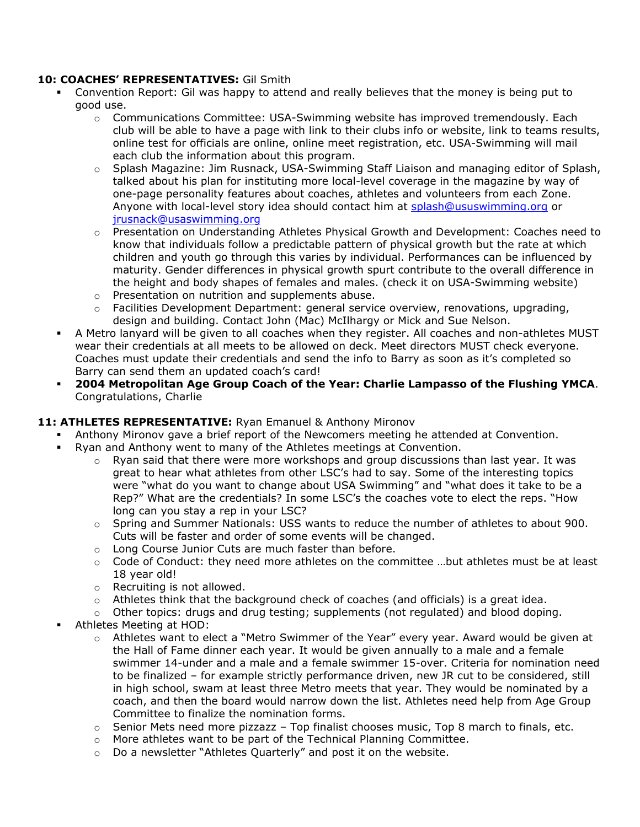### **10: COACHES' REPRESENTATIVES:** Gil Smith

- Convention Report: Gil was happy to attend and really believes that the money is being put to good use.
	- $\circ$  Communications Committee: USA-Swimming website has improved tremendously. Each club will be able to have a page with link to their clubs info or website, link to teams results, online test for officials are online, online meet registration, etc. USA-Swimming will mail each club the information about this program.
	- $\circ$  Splash Magazine: Jim Rusnack, USA-Swimming Staff Liaison and managing editor of Splash, talked about his plan for instituting more local-level coverage in the magazine by way of one-page personality features about coaches, athletes and volunteers from each Zone. Anyone with local-level story idea should contact him at [splash@ususwimming.org](mailto:splash@ususwimming.org) or [jrusnack@usaswimming.org](mailto:jrusnack@usaswimming.org)
	- o Presentation on Understanding Athletes Physical Growth and Development: Coaches need to know that individuals follow a predictable pattern of physical growth but the rate at which children and youth go through this varies by individual. Performances can be influenced by maturity. Gender differences in physical growth spurt contribute to the overall difference in the height and body shapes of females and males. (check it on USA-Swimming website)
	- o Presentation on nutrition and supplements abuse.
	- $\circ$  Facilities Development Department: general service overview, renovations, upgrading, design and building. Contact John (Mac) McIlhargy or Mick and Sue Nelson.
- A Metro lanyard will be given to all coaches when they register. All coaches and non-athletes MUST wear their credentials at all meets to be allowed on deck. Meet directors MUST check everyone. Coaches must update their credentials and send the info to Barry as soon as it's completed so Barry can send them an updated coach's card!
- **2004 Metropolitan Age Group Coach of the Year: Charlie Lampasso of the Flushing YMCA**. Congratulations, Charlie

# **11: ATHLETES REPRESENTATIVE:** Ryan Emanuel & Anthony Mironov

- Anthony Mironov gave a brief report of the Newcomers meeting he attended at Convention.
- Ryan and Anthony went to many of the Athletes meetings at Convention.
	- $\circ$  Ryan said that there were more workshops and group discussions than last year. It was great to hear what athletes from other LSC's had to say. Some of the interesting topics were "what do you want to change about USA Swimming" and "what does it take to be a Rep?" What are the credentials? In some LSC's the coaches vote to elect the reps. "How long can you stay a rep in your LSC?
	- $\circ$  Spring and Summer Nationals: USS wants to reduce the number of athletes to about 900. Cuts will be faster and order of some events will be changed.
	- o Long Course Junior Cuts are much faster than before.
	- $\circ$  Code of Conduct: they need more athletes on the committee ...but athletes must be at least 18 year old!
	- o Recruiting is not allowed.
	- $\circ$  Athletes think that the background check of coaches (and officials) is a great idea.
	- $\circ$  Other topics: drugs and drug testing; supplements (not regulated) and blood doping. Athletes Meeting at HOD:
		- o Athletes want to elect a "Metro Swimmer of the Year" every year. Award would be given at the Hall of Fame dinner each year. It would be given annually to a male and a female swimmer 14-under and a male and a female swimmer 15-over. Criteria for nomination need to be finalized – for example strictly performance driven, new JR cut to be considered, still in high school, swam at least three Metro meets that year. They would be nominated by a coach, and then the board would narrow down the list. Athletes need help from Age Group Committee to finalize the nomination forms.
		- $\circ$  Senior Mets need more pizzazz Top finalist chooses music, Top 8 march to finals, etc.
		- o More athletes want to be part of the Technical Planning Committee.
		- o Do a newsletter "Athletes Quarterly" and post it on the website.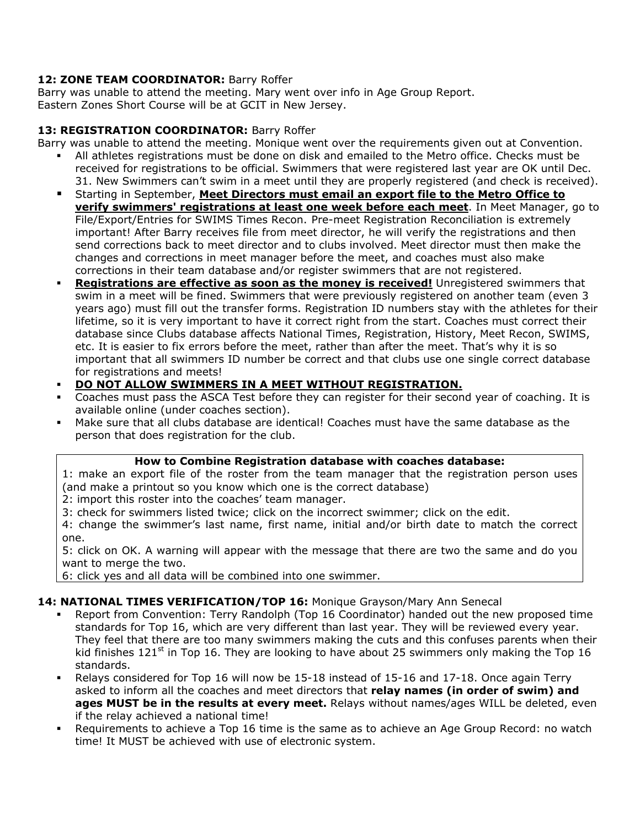# 12: **ZONE TEAM COORDINATOR: Barry Roffer**

Barry was unable to attend the meeting. Mary went over info in Age Group Report. Eastern Zones Short Course will be at GCIT in New Jersey.

# **13: REGISTRATION COORDINATOR:** Barry Roffer

Barry was unable to attend the meeting. Monique went over the requirements given out at Convention.

- All athletes registrations must be done on disk and emailed to the Metro office. Checks must be received for registrations to be official. Swimmers that were registered last year are OK until Dec. 31. New Swimmers can't swim in a meet until they are properly registered (and check is received).
- Starting in September, **Meet Directors must email an export file to the Metro Office to verify swimmers' registrations at least one week before each meet**. In Meet Manager, go to File/Export/Entries for SWIMS Times Recon. Pre-meet Registration Reconciliation is extremely important! After Barry receives file from meet director, he will verify the registrations and then send corrections back to meet director and to clubs involved. Meet director must then make the changes and corrections in meet manager before the meet, and coaches must also make corrections in their team database and/or register swimmers that are not registered.
- **Registrations are effective as soon as the money is received!** Unregistered swimmers that swim in a meet will be fined. Swimmers that were previously registered on another team (even 3 years ago) must fill out the transfer forms. Registration ID numbers stay with the athletes for their lifetime, so it is very important to have it correct right from the start. Coaches must correct their database since Clubs database affects National Times, Registration, History, Meet Recon, SWIMS, etc. It is easier to fix errors before the meet, rather than after the meet. That's why it is so important that all swimmers ID number be correct and that clubs use one single correct database for registrations and meets!
- **DO NOT ALLOW SWIMMERS IN A MEET WITHOUT REGISTRATION.**
- Coaches must pass the ASCA Test before they can register for their second year of coaching. It is available online (under coaches section).
- Make sure that all clubs database are identical! Coaches must have the same database as the person that does registration for the club.

#### **How to Combine Registration database with coaches database:**

1: make an export file of the roster from the team manager that the registration person uses (and make a printout so you know which one is the correct database)

2: import this roster into the coaches' team manager.

3: check for swimmers listed twice; click on the incorrect swimmer; click on the edit.

4: change the swimmer's last name, first name, initial and/or birth date to match the correct one.

5: click on OK. A warning will appear with the message that there are two the same and do you want to merge the two.

6: click yes and all data will be combined into one swimmer.

# **14: NATIONAL TIMES VERIFICATION/TOP 16:** Monique Grayson/Mary Ann Senecal

- Report from Convention: Terry Randolph (Top 16 Coordinator) handed out the new proposed time standards for Top 16, which are very different than last year. They will be reviewed every year. They feel that there are too many swimmers making the cuts and this confuses parents when their kid finishes  $121^{st}$  in Top 16. They are looking to have about 25 swimmers only making the Top 16 standards.
- Relays considered for Top 16 will now be 15-18 instead of 15-16 and 17-18. Once again Terry asked to inform all the coaches and meet directors that **relay names (in order of swim) and ages MUST be in the results at every meet.** Relays without names/ages WILL be deleted, even if the relay achieved a national time!
- Requirements to achieve a Top 16 time is the same as to achieve an Age Group Record: no watch time! It MUST be achieved with use of electronic system.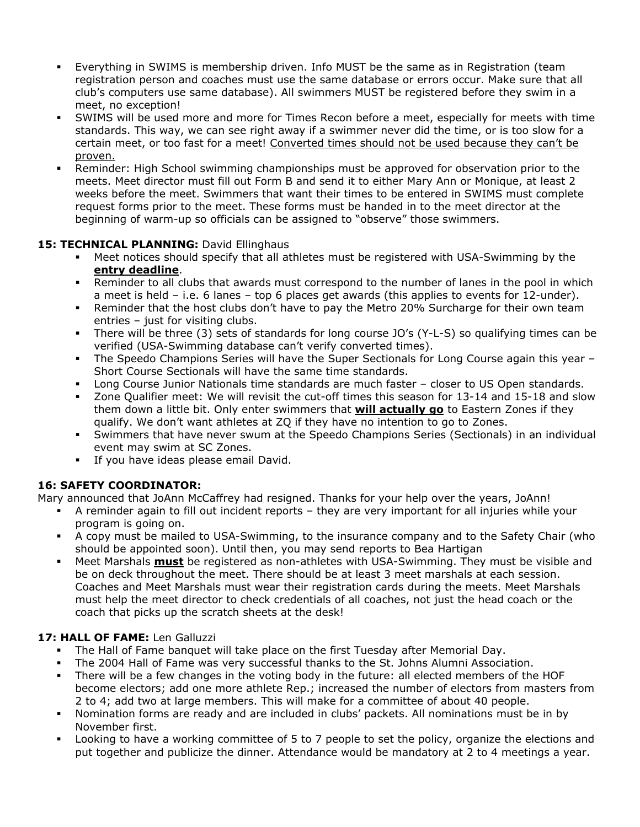- Everything in SWIMS is membership driven. Info MUST be the same as in Registration (team registration person and coaches must use the same database or errors occur. Make sure that all club's computers use same database). All swimmers MUST be registered before they swim in a meet, no exception!
- SWIMS will be used more and more for Times Recon before a meet, especially for meets with time standards. This way, we can see right away if a swimmer never did the time, or is too slow for a certain meet, or too fast for a meet! Converted times should not be used because they can't be proven.
- Reminder: High School swimming championships must be approved for observation prior to the meets. Meet director must fill out Form B and send it to either Mary Ann or Monique, at least 2 weeks before the meet. Swimmers that want their times to be entered in SWIMS must complete request forms prior to the meet. These forms must be handed in to the meet director at the beginning of warm-up so officials can be assigned to "observe" those swimmers.

# 15: TECHNICAL PLANNING: David Ellinghaus

- Meet notices should specify that all athletes must be registered with USA-Swimming by the **entry deadline**.
- Reminder to all clubs that awards must correspond to the number of lanes in the pool in which a meet is held – i.e. 6 lanes – top 6 places get awards (this applies to events for 12-under).
- Reminder that the host clubs don't have to pay the Metro 20% Surcharge for their own team entries – just for visiting clubs.
- There will be three (3) sets of standards for long course JO's (Y-L-S) so qualifying times can be verified (USA-Swimming database can't verify converted times).
- The Speedo Champions Series will have the Super Sectionals for Long Course again this year Short Course Sectionals will have the same time standards.
- Long Course Junior Nationals time standards are much faster closer to US Open standards.
- Zone Qualifier meet: We will revisit the cut-off times this season for 13-14 and 15-18 and slow them down a little bit. Only enter swimmers that **will actually go** to Eastern Zones if they qualify. We don't want athletes at ZQ if they have no intention to go to Zones.
- Swimmers that have never swum at the Speedo Champions Series (Sectionals) in an individual event may swim at SC Zones.
- **If you have ideas please email David.**

# **16: SAFETY COORDINATOR:**

Mary announced that JoAnn McCaffrey had resigned. Thanks for your help over the years, JoAnn!

- A reminder again to fill out incident reports they are very important for all injuries while your program is going on.
- A copy must be mailed to USA-Swimming, to the insurance company and to the Safety Chair (who should be appointed soon). Until then, you may send reports to Bea Hartigan
- Meet Marshals **must** be registered as non-athletes with USA-Swimming. They must be visible and be on deck throughout the meet. There should be at least 3 meet marshals at each session. Coaches and Meet Marshals must wear their registration cards during the meets. Meet Marshals must help the meet director to check credentials of all coaches, not just the head coach or the coach that picks up the scratch sheets at the desk!

# **17: HALL OF FAME:** Len Galluzzi

- The Hall of Fame banquet will take place on the first Tuesday after Memorial Day.
- The 2004 Hall of Fame was very successful thanks to the St. Johns Alumni Association.
- There will be a few changes in the voting body in the future: all elected members of the HOF become electors; add one more athlete Rep.; increased the number of electors from masters from 2 to 4; add two at large members. This will make for a committee of about 40 people.
- Nomination forms are ready and are included in clubs' packets. All nominations must be in by November first.
- Looking to have a working committee of 5 to 7 people to set the policy, organize the elections and put together and publicize the dinner. Attendance would be mandatory at 2 to 4 meetings a year.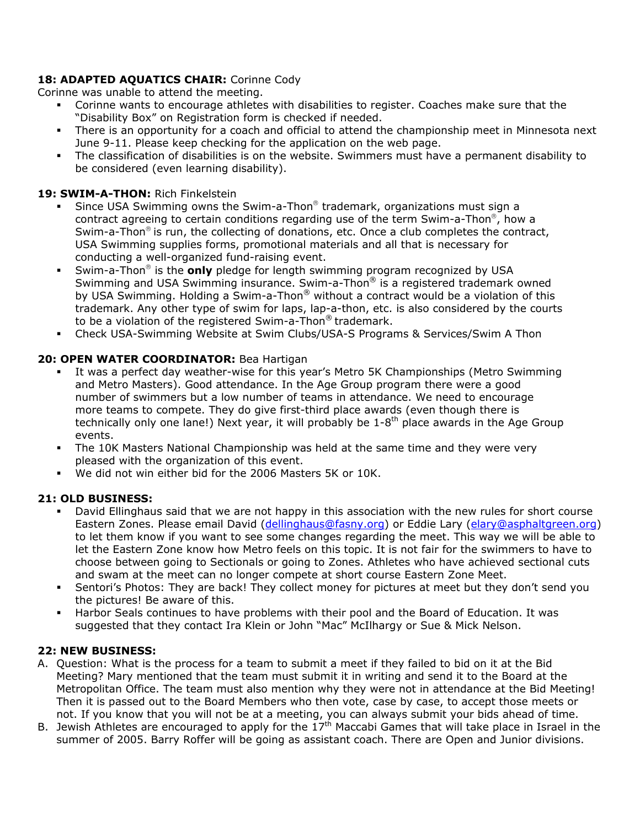# 18: **ADAPTED AQUATICS CHAIR:** Corinne Cody

Corinne was unable to attend the meeting.

- Corinne wants to encourage athletes with disabilities to register. Coaches make sure that the "Disability Box" on Registration form is checked if needed.
- There is an opportunity for a coach and official to attend the championship meet in Minnesota next June 9-11. Please keep checking for the application on the web page.
- The classification of disabilities is on the website. Swimmers must have a permanent disability to be considered (even learning disability).

# **19: SWIM-A-THON:** Rich Finkelstein

- Since USA Swimming owns the Swim-a-Thon<sup>®</sup> trademark, organizations must sign a contract agreeing to certain conditions regarding use of the term Swim-a-Thon®, how a Swim-a-Thon<sup>®</sup> is run, the collecting of donations, etc. Once a club completes the contract, USA Swimming supplies forms, promotional materials and all that is necessary for conducting a well-organized fund-raising event.
- Swim-a-Thon<sup>®</sup> is the **only** pledge for length swimming program recognized by USA Swimming and USA Swimming insurance. Swim-a-Thon® is a registered trademark owned by USA Swimming. Holding a Swim-a-Thon® without a contract would be a violation of this trademark. Any other type of swim for laps, lap-a-thon, etc. is also considered by the courts to be a violation of the registered Swim-a-Thon® trademark.
- Check USA-Swimming Website at Swim Clubs/USA-S Programs & Services/Swim A Thon

# **20: OPEN WATER COORDINATOR:** Bea Hartigan

- It was a perfect day weather-wise for this year's Metro 5K Championships (Metro Swimming and Metro Masters). Good attendance. In the Age Group program there were a good number of swimmers but a low number of teams in attendance. We need to encourage more teams to compete. They do give first-third place awards (even though there is technically only one lane!) Next year, it will probably be  $1-8<sup>th</sup>$  place awards in the Age Group events.
- The 10K Masters National Championship was held at the same time and they were very pleased with the organization of this event.
- We did not win either bid for the 2006 Masters 5K or 10K.

# **21: OLD BUSINESS:**

- David Ellinghaus said that we are not happy in this association with the new rules for short course Eastern Zones. Please email David ([dellinghaus@fasny.org\)](mailto:dellinghaus@fasny.org) or Eddie Lary ([elary@asphaltgreen.org\)](mailto:elary@asphaltgreen.org) to let them know if you want to see some changes regarding the meet. This way we will be able to let the Eastern Zone know how Metro feels on this topic. It is not fair for the swimmers to have to choose between going to Sectionals or going to Zones. Athletes who have achieved sectional cuts and swam at the meet can no longer compete at short course Eastern Zone Meet.
- Sentori's Photos: They are back! They collect money for pictures at meet but they don't send you the pictures! Be aware of this.
- Harbor Seals continues to have problems with their pool and the Board of Education. It was suggested that they contact Ira Klein or John "Mac" McIlhargy or Sue & Mick Nelson.

# **22: NEW BUSINESS:**

- A. Question: What is the process for a team to submit a meet if they failed to bid on it at the Bid Meeting? Mary mentioned that the team must submit it in writing and send it to the Board at the Metropolitan Office. The team must also mention why they were not in attendance at the Bid Meeting! Then it is passed out to the Board Members who then vote, case by case, to accept those meets or not. If you know that you will not be at a meeting, you can always submit your bids ahead of time.
- B. Jewish Athletes are encouraged to apply for the  $17<sup>th</sup>$  Maccabi Games that will take place in Israel in the summer of 2005. Barry Roffer will be going as assistant coach. There are Open and Junior divisions.